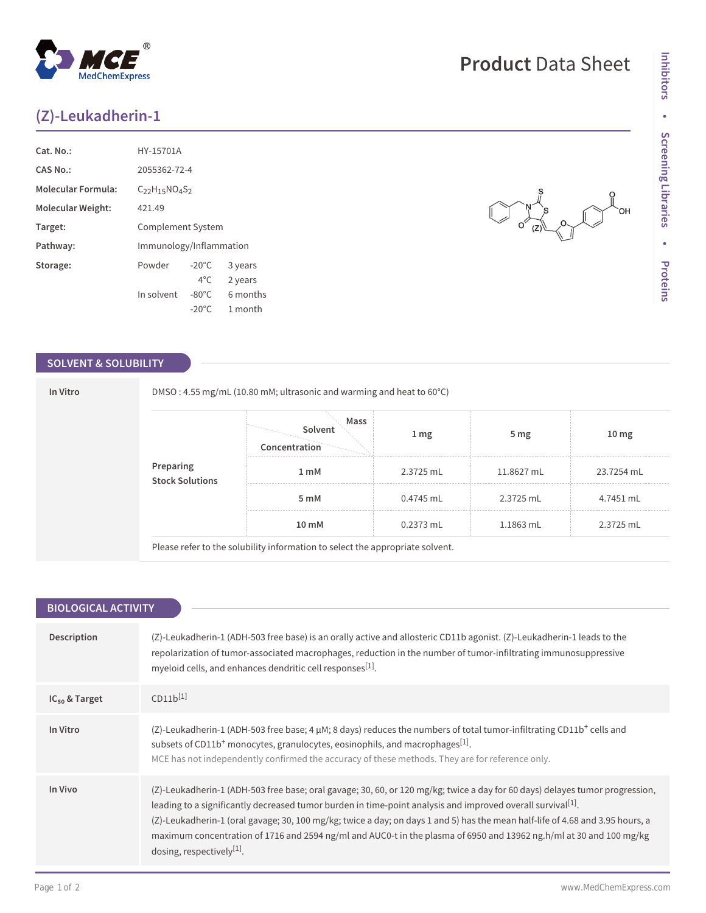## **(Z)-Leukadherin-1**

**MedChemExpress** 

| Cat. No.:                 | HY-15701A               |                 |          |
|---------------------------|-------------------------|-----------------|----------|
| <b>CAS No.:</b>           | 2055362-72-4            |                 |          |
| <b>Molecular Formula:</b> | $C_{22}H_{15}NO4S2$     |                 |          |
| Molecular Weight:         | 421.49                  |                 |          |
| Target:                   | Complement System       |                 |          |
| Pathway:                  | Immunology/Inflammation |                 |          |
| Storage:                  | Powder                  | $-20^{\circ}$ C | 3 years  |
|                           |                         | $4^{\circ}$ C   | 2 years  |
|                           | In solvent              | $-80^{\circ}$ C | 6 months |
|                           |                         | $-20^{\circ}$ C | 1 month  |

## **SOLVENT & SOLUBILITY**

**In Vitro** DMSO : 4.55 mg/mL (10.80 mM; ultrasonic and warming and heat to 60°C)

|                              | Mass<br>Solvent<br>Concentration | 1 <sub>mg</sub> | 5 <sub>mg</sub> | 10 <sub>mg</sub> |
|------------------------------|----------------------------------|-----------------|-----------------|------------------|
| Preparing<br>Stock Solutions | 1 <sub>m</sub> M                 | 2.3725 mL       | 11.8627 mL      | 23.7254 mL       |
|                              | 5 <sub>m</sub> M                 | 0.4745 mL       | 2.3725 mL       | 4.7451 mL        |
|                              | 10 mM                            | 0.2373 mL       | 1.1863 mL       | 2.3725 mL        |

Please refer to the solubility information to select the appropriate solvent.

| <b>BIOLOGICAL ACTIVITY</b> |                                                                                                                                                                                                                                                                                                                                                                                                                                                                                                                                                 |  |  |  |
|----------------------------|-------------------------------------------------------------------------------------------------------------------------------------------------------------------------------------------------------------------------------------------------------------------------------------------------------------------------------------------------------------------------------------------------------------------------------------------------------------------------------------------------------------------------------------------------|--|--|--|
| Description                | (Z)-Leukadherin-1 (ADH-503 free base) is an orally active and allosteric CD11b agonist. (Z)-Leukadherin-1 leads to the<br>repolarization of tumor-associated macrophages, reduction in the number of tumor-infiltrating immunosuppressive<br>myeloid cells, and enhances dendritic cell responses <sup>[1]</sup> .                                                                                                                                                                                                                              |  |  |  |
| $IC_{50}$ & Target         | $CD11b^{[1]}$                                                                                                                                                                                                                                                                                                                                                                                                                                                                                                                                   |  |  |  |
| In Vitro                   | (Z)-Leukadherin-1 (ADH-503 free base; 4 µM; 8 days) reduces the numbers of total tumor-infiltrating CD11b <sup>+</sup> cells and<br>subsets of CD11b <sup>+</sup> monocytes, granulocytes, eosinophils, and macrophages <sup>[1]</sup> .<br>MCE has not independently confirmed the accuracy of these methods. They are for reference only.                                                                                                                                                                                                     |  |  |  |
| In Vivo                    | (Z)-Leukadherin-1 (ADH-503 free base; oral gavage; 30, 60, or 120 mg/kg; twice a day for 60 days) delayes tumor progression,<br>leading to a significantly decreased tumor burden in time-point analysis and improved overall survival <sup>[1]</sup> .<br>(Z)-Leukadherin-1 (oral gavage; 30, 100 mg/kg; twice a day; on days 1 and 5) has the mean half-life of 4.68 and 3.95 hours, a<br>maximum concentration of 1716 and 2594 ng/ml and AUC0-t in the plasma of 6950 and 13962 ng.h/ml at 30 and 100 mg/kg<br>dosing, respectively $[1]$ . |  |  |  |

# **Product** Data Sheet

 $\begin{picture}(120,17) \put(0,0){\line(1,0){155}} \put(15,0){\line(1,0){155}} \put(15,0){\line(1,0){155}} \put(15,0){\line(1,0){155}} \put(15,0){\line(1,0){155}} \put(15,0){\line(1,0){155}} \put(15,0){\line(1,0){155}} \put(15,0){\line(1,0){155}} \put(15,0){\line(1,0){155}} \put(15,0){\line(1,0){155}} \put(15,0){\line(1,0){155}}$ 

 $\overline{O}$